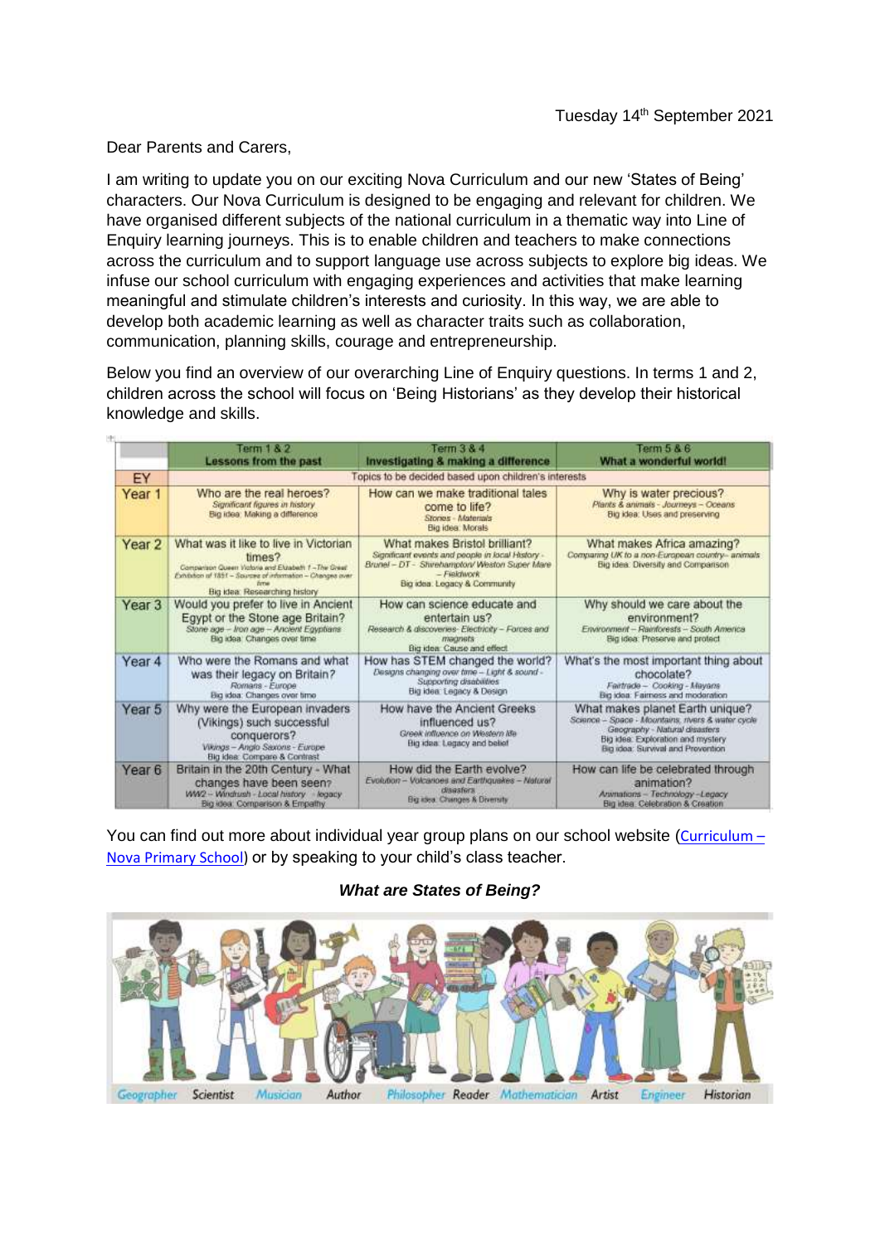Dear Parents and Carers,

I am writing to update you on our exciting Nova Curriculum and our new 'States of Being' characters. Our Nova Curriculum is designed to be engaging and relevant for children. We have organised different subjects of the national curriculum in a thematic way into Line of Enquiry learning journeys. This is to enable children and teachers to make connections across the curriculum and to support language use across subjects to explore big ideas. We infuse our school curriculum with engaging experiences and activities that make learning meaningful and stimulate children's interests and curiosity. In this way, we are able to develop both academic learning as well as character traits such as collaboration, communication, planning skills, courage and entrepreneurship.

Below you find an overview of our overarching Line of Enquiry questions. In terms 1 and 2, children across the school will focus on 'Being Historians' as they develop their historical knowledge and skills.

|                   | <b>Term 1 &amp; 2</b><br>Lessons from the past                                                                                                                                                       | Term 3 & 4<br>Investigating & making a difference                                                                                                                                  | Term 5 & 6<br>What a wonderful world!                                                                                                                                                            |
|-------------------|------------------------------------------------------------------------------------------------------------------------------------------------------------------------------------------------------|------------------------------------------------------------------------------------------------------------------------------------------------------------------------------------|--------------------------------------------------------------------------------------------------------------------------------------------------------------------------------------------------|
| EY                | Topics to be decided based upon children's interests                                                                                                                                                 |                                                                                                                                                                                    |                                                                                                                                                                                                  |
| Year <sub>1</sub> | Who are the real heroes?<br>Significant figures in history<br>Big idea: Making a difference                                                                                                          | How can we make traditional tales<br>come to life?<br>Stones - Materials<br>Big idea. Morals                                                                                       | Why is water precious?<br>Plants & animals - Journeys - Oceans<br>Big idea: Uses and preserving                                                                                                  |
| Year <sub>2</sub> | What was it like to live in Victorian<br>times?<br>Comparison Queen Victoria and Elgabeth 1-The Great<br>Exhibition of 1851 - Sources of information - Changes over<br>Big idea: Researching history | What makes Bristol brilliant?<br>Significant events and people in local History -<br>Brunel - DT - Shirehampton/ Weston Super Mare<br>$-Fickhwork$<br>Big idea. Legacy & Community | What makes Africa amazing?<br>Companing UK to a non-European country- animals<br>Big idea: Diversity and Comparison                                                                              |
| Year <sub>3</sub> | Would you prefer to live in Ancient<br>Egypt or the Stone age Britain?<br>Stone age - Iron age - Ancient Egyptians<br>Big idea: Changes over time                                                    | How can science educate and<br>entertain us?<br>Research & discovenes- Electricity - Forces and<br>magnets<br>Big idea: Cause and effect                                           | Why should we care about the<br>environment?<br>Environment - Rainforests - South America<br>Big idea: Preserve and protect                                                                      |
| Year 4            | Who were the Romans and what<br>was their legacy on Britain?<br>Romans - Europe<br>Big idea: Changes over time                                                                                       | How has STEM changed the world?<br>Designs changing over time - Light & sound -<br>Supporting disabilities<br>Big idea: Legacy & Design                                            | What's the most important thing about<br>chocolate?<br>Fairtrade - Cooking - Mayans<br>Big idea: Fairness and moderation                                                                         |
| Year 5            | Why were the European invaders<br>(Vikings) such successful<br>conquerors?<br>Vikings - Anglo Saxons - Europe<br>Big idea: Compare & Contrast                                                        | How have the Ancient Greeks<br>influenced us?<br>Greek influence on Western Ide<br>Big idea. Legacy and belief                                                                     | What makes planet Earth unique?<br>Science - Space - Mountains, rivers & water cycle<br>Geography - Natural disasters<br>Big idea: Exploration and mystery.<br>Big idea: Survival and Prevention |
| Year <sub>6</sub> | Britain in the 20th Century - What<br>changes have been seen?<br>WW2 - Windrush - Local history - legacy<br>Big idea: Comparison & Empathy                                                           | How did the Earth evolve?<br>Evolution - Volcanoes and Earthquakes - Natural<br><b><i><u>UMBARRY</u></i></b><br>Big assa. Changes & Diversity                                      | How can life be celebrated through<br>animation?<br>Animations - Technology-Legacy<br>Big idea. Celebration & Creation                                                                           |

You can find out more about individual year group plans on our school website ([Curriculum](https://novaprimaryschool.co.uk/learning/curriculum/) – [Nova Primary School\)](https://novaprimaryschool.co.uk/learning/curriculum/) or by speaking to your child's class teacher.

## *What are States of Being?*

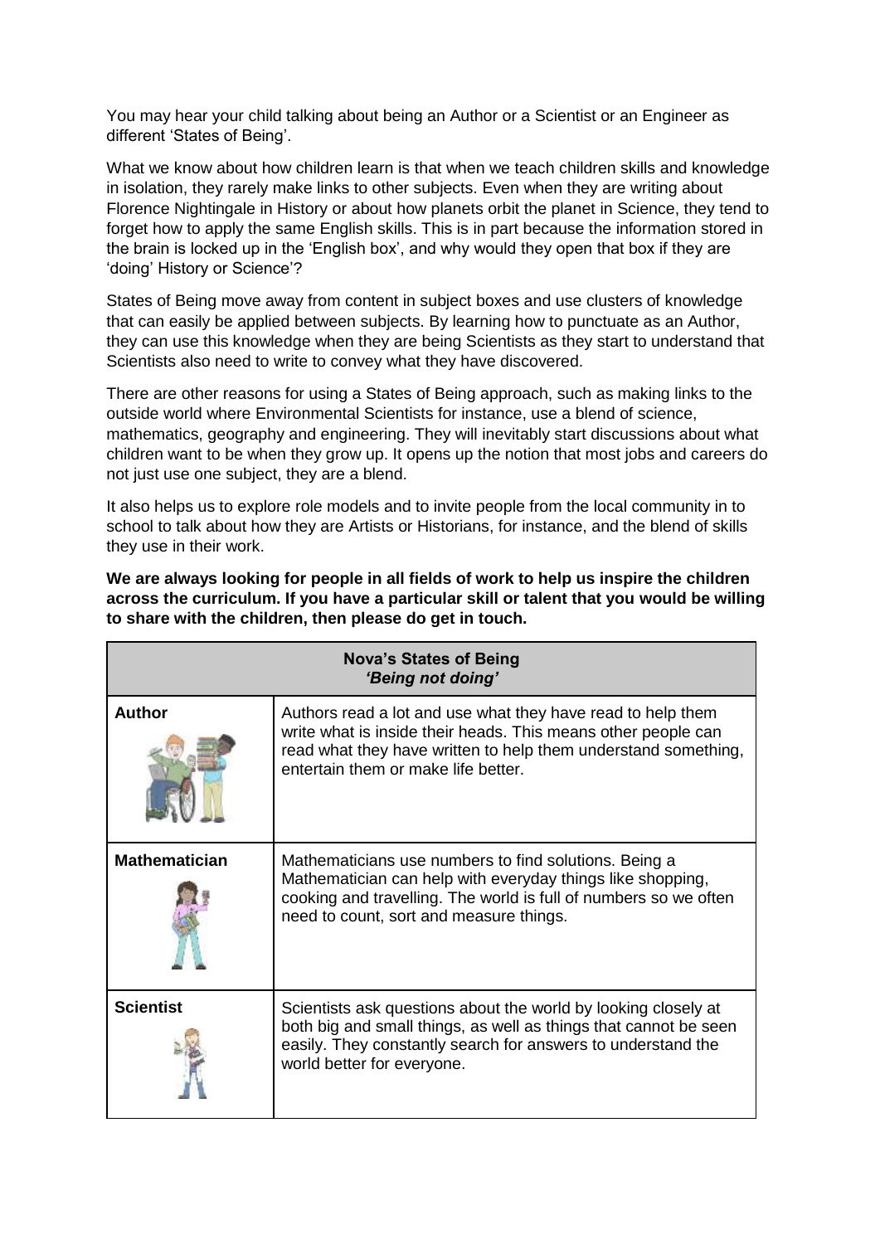You may hear your child talking about being an Author or a Scientist or an Engineer as different 'States of Being'.

What we know about how children learn is that when we teach children skills and knowledge in isolation, they rarely make links to other subjects. Even when they are writing about Florence Nightingale in History or about how planets orbit the planet in Science, they tend to forget how to apply the same English skills. This is in part because the information stored in the brain is locked up in the 'English box', and why would they open that box if they are 'doing' History or Science'?

States of Being move away from content in subject boxes and use clusters of knowledge that can easily be applied between subjects. By learning how to punctuate as an Author, they can use this knowledge when they are being Scientists as they start to understand that Scientists also need to write to convey what they have discovered.

There are other reasons for using a States of Being approach, such as making links to the outside world where Environmental Scientists for instance, use a blend of science, mathematics, geography and engineering. They will inevitably start discussions about what children want to be when they grow up. It opens up the notion that most jobs and careers do not just use one subject, they are a blend.

It also helps us to explore role models and to invite people from the local community in to school to talk about how they are Artists or Historians, for instance, and the blend of skills they use in their work.

**We are always looking for people in all fields of work to help us inspire the children across the curriculum. If you have a particular skill or talent that you would be willing to share with the children, then please do get in touch.** 

| <b>Nova's States of Being</b><br>'Being not doing' |                                                                                                                                                                                                                                       |  |
|----------------------------------------------------|---------------------------------------------------------------------------------------------------------------------------------------------------------------------------------------------------------------------------------------|--|
| <b>Author</b>                                      | Authors read a lot and use what they have read to help them<br>write what is inside their heads. This means other people can<br>read what they have written to help them understand something,<br>entertain them or make life better. |  |
| <b>Mathematician</b>                               | Mathematicians use numbers to find solutions. Being a<br>Mathematician can help with everyday things like shopping,<br>cooking and travelling. The world is full of numbers so we often<br>need to count, sort and measure things.    |  |
| <b>Scientist</b>                                   | Scientists ask questions about the world by looking closely at<br>both big and small things, as well as things that cannot be seen<br>easily. They constantly search for answers to understand the<br>world better for everyone.      |  |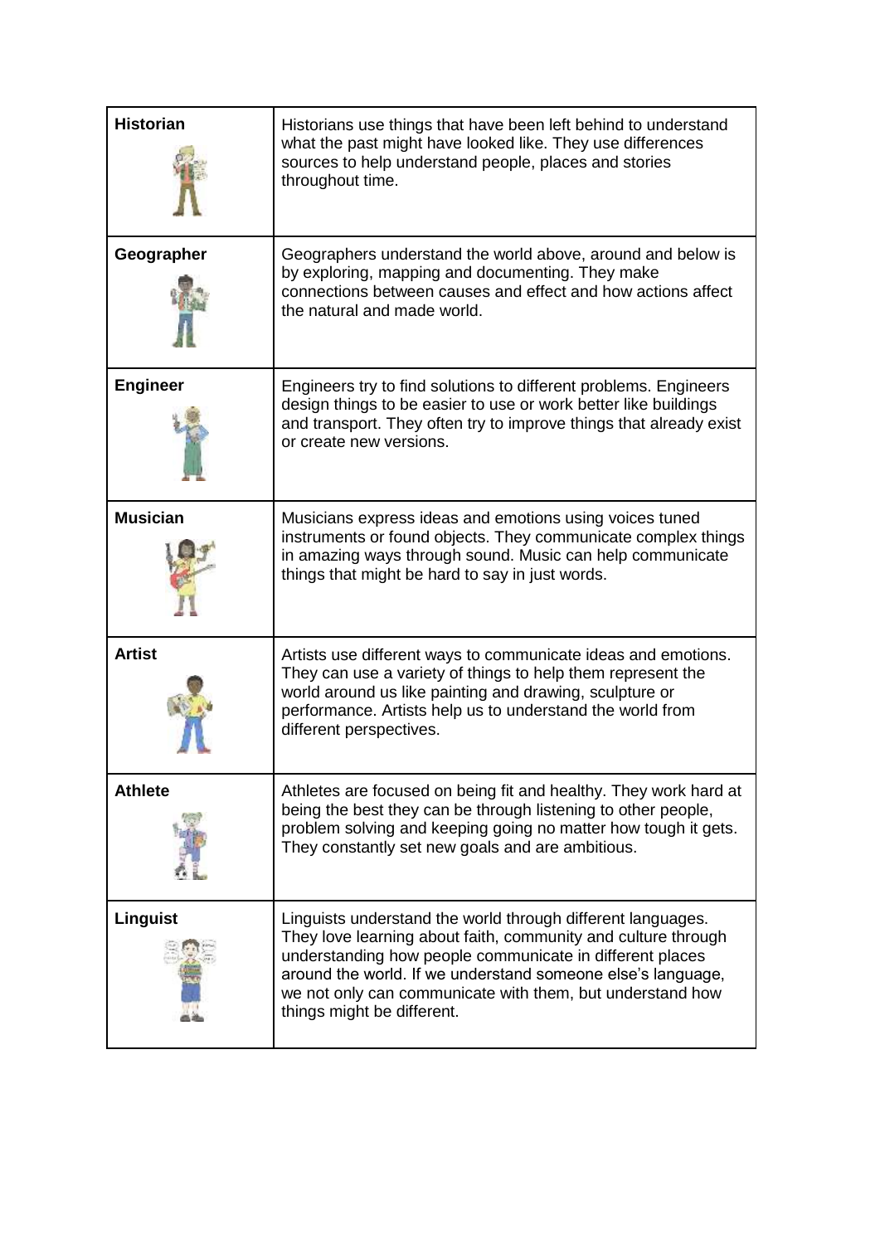| <b>Historian</b> | Historians use things that have been left behind to understand<br>what the past might have looked like. They use differences<br>sources to help understand people, places and stories<br>throughout time.                                                                                                                                          |
|------------------|----------------------------------------------------------------------------------------------------------------------------------------------------------------------------------------------------------------------------------------------------------------------------------------------------------------------------------------------------|
| Geographer       | Geographers understand the world above, around and below is<br>by exploring, mapping and documenting. They make<br>connections between causes and effect and how actions affect<br>the natural and made world.                                                                                                                                     |
| <b>Engineer</b>  | Engineers try to find solutions to different problems. Engineers<br>design things to be easier to use or work better like buildings<br>and transport. They often try to improve things that already exist<br>or create new versions.                                                                                                               |
| <b>Musician</b>  | Musicians express ideas and emotions using voices tuned<br>instruments or found objects. They communicate complex things<br>in amazing ways through sound. Music can help communicate<br>things that might be hard to say in just words.                                                                                                           |
| <b>Artist</b>    | Artists use different ways to communicate ideas and emotions.<br>They can use a variety of things to help them represent the<br>world around us like painting and drawing, sculpture or<br>performance. Artists help us to understand the world from<br>different perspectives.                                                                    |
| <b>Athlete</b>   | Athletes are focused on being fit and healthy. They work hard at<br>being the best they can be through listening to other people,<br>problem solving and keeping going no matter how tough it gets.<br>They constantly set new goals and are ambitious.                                                                                            |
| Linguist         | Linguists understand the world through different languages.<br>They love learning about faith, community and culture through<br>understanding how people communicate in different places<br>around the world. If we understand someone else's language,<br>we not only can communicate with them, but understand how<br>things might be different. |